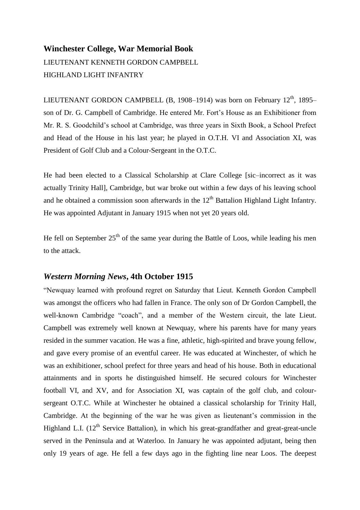## **Winchester College, War Memorial Book** LIEUTENANT KENNETH GORDON CAMPBELL HIGHLAND LIGHT INFANTRY

LIEUTENANT GORDON CAMPBELL (B, 1908–1914) was born on February  $12<sup>th</sup>$ , 1895– son of Dr. G. Campbell of Cambridge. He entered Mr. Fort's House as an Exhibitioner from Mr. R. S. Goodchild's school at Cambridge, was three years in Sixth Book, a School Prefect and Head of the House in his last year; he played in O.T.H. VI and Association XI, was President of Golf Club and a Colour-Sergeant in the O.T.C.

He had been elected to a Classical Scholarship at Clare College [sic–incorrect as it was actually Trinity Hall], Cambridge, but war broke out within a few days of his leaving school and he obtained a commission soon afterwards in the  $12<sup>th</sup>$  Battalion Highland Light Infantry. He was appointed Adjutant in January 1915 when not yet 20 years old.

He fell on September  $25<sup>th</sup>$  of the same year during the Battle of Loos, while leading his men to the attack.

## *Western Morning News***, 4th October 1915**

"Newquay learned with profound regret on Saturday that Lieut. Kenneth Gordon Campbell was amongst the officers who had fallen in France. The only son of Dr Gordon Campbell, the well-known Cambridge "coach", and a member of the Western circuit, the late Lieut. Campbell was extremely well known at Newquay, where his parents have for many years resided in the summer vacation. He was a fine, athletic, high-spirited and brave young fellow, and gave every promise of an eventful career. He was educated at Winchester, of which he was an exhibitioner, school prefect for three years and head of his house. Both in educational attainments and in sports he distinguished himself. He secured colours for Winchester football VI, and XV, and for Association XI, was captain of the golf club, and coloursergeant O.T.C. While at Winchester he obtained a classical scholarship for Trinity Hall, Cambridge. At the beginning of the war he was given as lieutenant's commission in the Highland L.I.  $(12<sup>th</sup>$  Service Battalion), in which his great-grandfather and great-great-uncle served in the Peninsula and at Waterloo. In January he was appointed adjutant, being then only 19 years of age. He fell a few days ago in the fighting line near Loos. The deepest